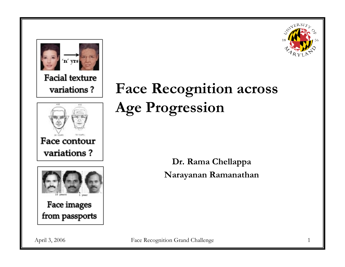



**Facial texture** variations?





## **Face Recognition across Age Progression**

**Dr. Rama Chellappa Narayanan Ramanathan**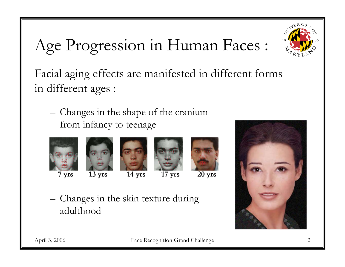# Age Progression in Human Faces :



Facial aging effects are manifested in different forms in different ages :

– Changes in the shape of the cranium from infancy to teenage











– Changes in the skin texture during adulthood

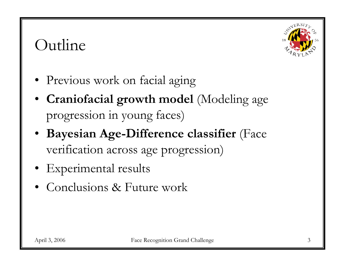## Outline



- Previous work on facial aging
- **Craniofacial growth model** (Modeling age progression in young faces)
- **Bayesian Age-Difference classifier** (Face verification across age progression)
- Experimental results
- Conclusions & Future work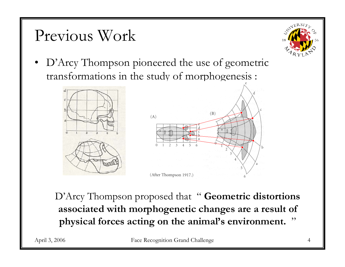## Previous Work



• D'Arcy Thompson pioneered the use of geometric transformations in the study of morphogenesis :



D'Arcy Thompson proposed that " **Geometric distortions associated with morphogenetic changes are a result of physical forces acting on the animal's environment.** "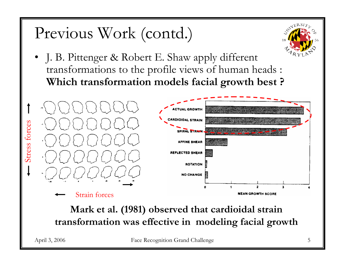## Previous Work (contd.)

• J. B. Pittenger & Robert E. Shaw apply different transformations to the profile views of human heads : **Which transformation models facial growth best ?**



**Mark et al. (1981) observed that cardioidal strain transformation was effective in modeling facial growth**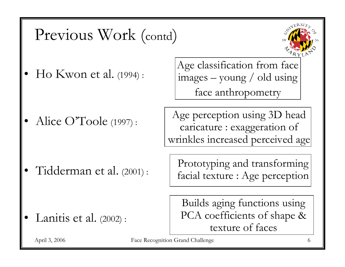### Previous Work (contd)

•Ho Kwon et al. (1994) :

•Alice O'Toole (1997): Age classification from face images – young / old using face anthropometry

Age perception using 3D head caricature : exaggeration of wrinkles increased perceived age

•Tidderman et al. (2001) : Prototyping and transforming facial texture : Age perception

•Lanitis et al. (2002) :

Builds aging functions using PCA coefficients of shape & texture of faces

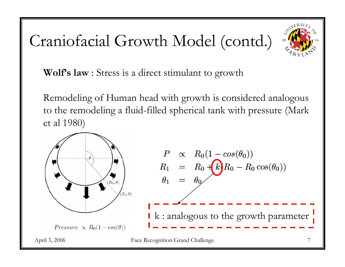# Craniofacial Growth Model (contd.)



**Wolf's law** : Stress is a direct stimulant to growth

Remodeling of Human head with growth is considered analogous to the remodeling a fluid-filled spherical tank with pressure (Mark et al 1980)

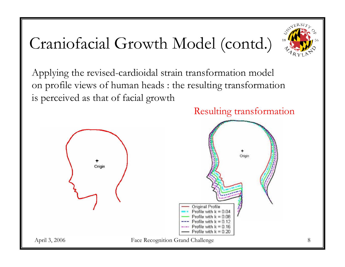# Craniofacial Growth Model (contd.)



Applying the revised-cardioidal strain transformation model on profile views of human heads : the resulting transformation is perceived as that of facial growth

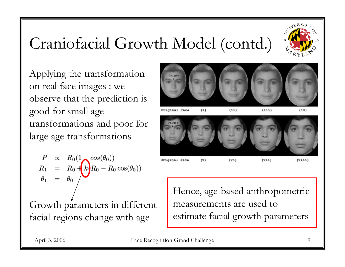# Craniofacial Growth Model (contd.)



Applying the transformation on real face images : we observe that the prediction is good for small age transformations and poor for large age transformations

$$
\begin{array}{rcl}\nP & \propto & R_0(1 - \cos(\theta_0)) \\
R_1 & = & R_0 + k_0 R_0 - R_0 \cos(\theta_0) \\
\theta_1 & = & \theta_0\n\end{array}
$$

Growth parameters in different facial regions change with age



Original Face  $(1)$   $(i, i, i)$ 

 $(i\mathbf{v})$ 



 $(11)$ 

Original Face

 $(viii)$ 

Hence, age-based anthropometric measurements are used to estimate facial growth parameters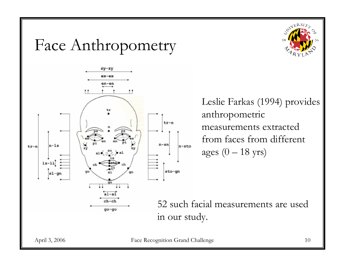### Face Anthropometry





Leslie Farkas (1994) provides anthropometric measurements extracted from faces from different ages  $(0 - 18$  yrs)

52 such facial measurements are used in our study.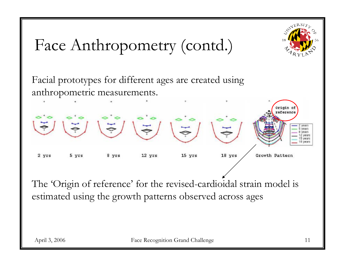Face Anthropometry (contd.)

Facial prototypes for different ages are created using anthropometric measurements.



The 'Origin of reference' for the revised-cardioidal strain model is estimated using the growth patterns observed across ages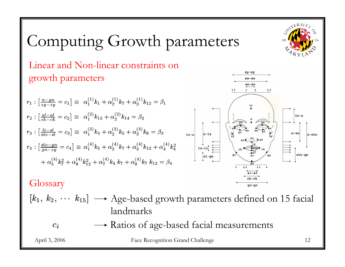# Computing Growth parameters

Linear and Non-linear constraints on growth parameters

**Glossary** 

 $[k_1, k_2, \cdots k_{15}] \longrightarrow$  Age-based growth parameters defined on 15 facial landmarks

Ratios of age-based facial measurements  $c_i$ 

April 3, 2006 Face Recognition Grand Challenge 12

 $n$ -sto

 $zy-zy$  $ax - ax$  $en-en$ 

go-go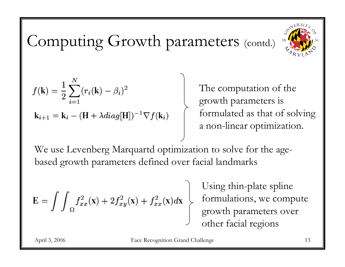

# Computing Growth parameters (contd.)

$$
f(\mathbf{k}) = \frac{1}{2} \sum_{i=1}^{N} (r_i(\mathbf{k}) - \beta_i)^2
$$
  

$$
\mathbf{k}_{i+1} = \mathbf{k}_i - (\mathbf{H} + \lambda \operatorname{diag}[\mathbf{H}])^{-1} \nabla f(\mathbf{k}_i)
$$

The computation of the growth parameters is formulated as that of solving a non-linear optimization.

We use Levenberg Marquartd optimization to solve for the agebased growth parameters defined over facial landmarks

$$
\mathbf{E} = \int \int_{\Omega} f_{xx}^2(\mathbf{x}) + 2f_{xy}^2(\mathbf{x}) + f_{xx}^2(\mathbf{x})d\mathbf{x}
$$

Using thin-plate spline formulations, we compute growth parameters over other facial regions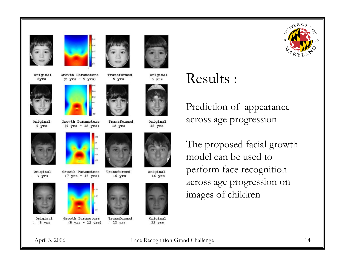



Original 2yrs



Original 9 yrs



Original 7 yrs



Original 8 yrs



 $(8 \text{ yrs} - 12 \text{ yrs})$ 



0.04  $0.03$ a co

 $0.02$ 

Growth Parameters

 $(2 \text{ yrs} - 5 \text{ yrs})$ 

Growth Parameters

 $(9 \text{ yrs} - 12 \text{ yrs})$ 

Growth Parameters

 $(7 \text{ yrs} - 16 \text{ yrs})$ 

Transformed 12 yrs



Transformed

16 yrs

Transformed

Transformed

 $12$   $yrs$ 

5 yrs



Original 5 yrs



Original  $12$   $yrs$ 



Original  $16$   $yrs$ 



Original  $12$  yrs

### Results :

Prediction of appearance across age progression

The proposed facial growth model can be used to perform face recognition across age progression on images of children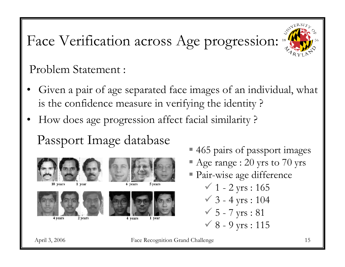

### Face Verification across Age progression:

Problem Statement :

- • Given a pair of age separated face images of an individual, what is the confidence measure in verifying the identity ?
- •How does age progression affect facial similarity ?

Passport Image database



1 year





5 years



4 vears

- 465 pairs of passport images
- Age range : 20 yrs to 70 yrs
- Pair-wise age difference

 $\checkmark$  1 - 2 yrs : 165  $\checkmark$  3 - 4 yrs : 104  $6 - 7$  yrs : 81  $\checkmark$  8 - 9 yrs : 115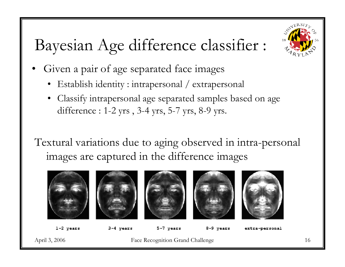# Bayesian Age difference classifier :

- • Given a pair of age separated face images
	- Establish identity : intrapersonal / extrapersonal
	- Classify intrapersonal age separated samples based on age difference : 1-2 yrs , 3-4 yrs, 5-7 yrs, 8-9 yrs.
- Textural variations due to aging observed in intra-personal images are captured in the difference images



 $1-2$  years

3-4 years

5-7 years

8-9 years

extra-personal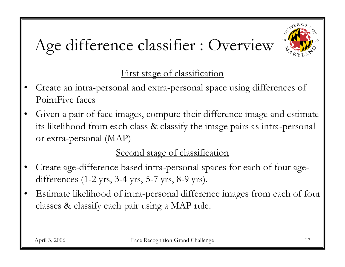# Age difference classifier : Overview



### First stage of classification

- • Create an intra-personal and extra-personal space using differences of PointFive faces
- • Given a pair of face images, compute their difference image and estimate its likelihood from each class & classify the image pairs as intra-personal or extra-personal (MAP)

### Second stage of classification

- • Create age-difference based intra-personal spaces for each of four agedifferences (1-2 yrs, 3-4 yrs, 5-7 yrs, 8-9 yrs).
- • Estimate likelihood of intra-personal difference images from each of four classes & classify each pair using a MAP rule.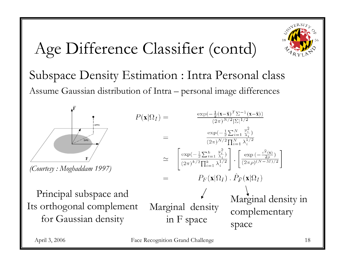

# Age Difference Classifier (contd)

Subspace Density Estimation : Intra Personal class Assume Gaussian distribution of Intra – personal image differences



*(Courtesy : Moghaddam 1997)*

Principal subspace and Its orthogonal complement for Gaussian density

$$
P(\mathbf{x}|\Omega_I) =
$$

$$
\Omega_{I}) = \frac{\exp(-\frac{1}{2}\sum_{i=1}^{N} \frac{y_i^2}{\lambda_i})}{(2\pi)^{N/2} \prod_{i=1}^{N} \lambda_i^{1/2}}
$$
\n
$$
= \frac{\exp(-\frac{1}{2}\sum_{i=1}^{N} \frac{y_i^2}{\lambda_i})}{(2\pi)^{N/2} \prod_{i=1}^{N} \lambda_i^{1/2}} \cdot \frac{\exp(-\frac{\epsilon^2(\mathbf{x})}{2\rho})}{(2\pi\rho)^{(N-M)/2}}]
$$
\n
$$
= P_F(\mathbf{x}|\Omega_I) \cdot \hat{P}_{\bar{F}}(\mathbf{x}|\Omega_I)
$$
\nMarginal density

\nin F space

\nspace

 $\exp(-\frac{1}{2}(\mathbf{x}-\bar{\mathbf{x}})^T \Sigma^{-1}(\mathbf{x}-\bar{\mathbf{x}}))$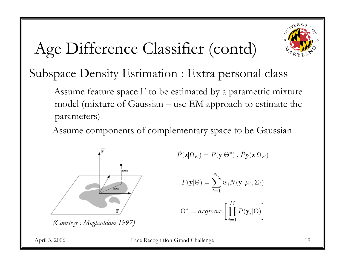

# Age Difference Classifier (contd)

### Subspace Density Estimation : Extra personal class

Assume feature space F to be estimated by a parametric mixture model (mixture of Gaussian – use EM approach to estimate the parameters)

Assume components of complementary space to be Gaussian



*(Courtesy : Moghaddam 1997)*

$$
\hat{P}(\mathbf{z}|\Omega_E) = P(\mathbf{y}|\Theta^*) \ . \ \hat{P}_{\bar{F}}(\mathbf{z}|\Omega_E)
$$

 $\mathcal{N}$ 

$$
P(\mathbf{y}|\Theta) = \sum_{i=1}^{N_c} w_i N(\mathbf{y}; \mu_i, \Sigma_i)
$$

$$
\Theta^* = argmax \left[ \prod_{i=1}^{M} P(\mathbf{y}_i|\Theta) \right]
$$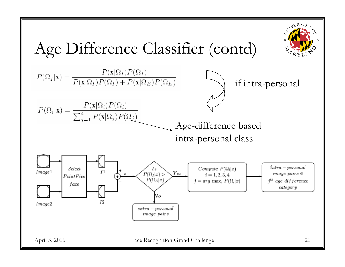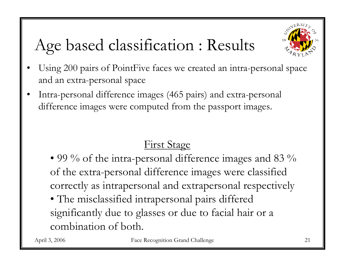

# Age based classification : Results

- • Using 200 pairs of PointFive faces we created an intra-personal space and an extra-personal space
- • Intra-personal difference images (465 pairs) and extra-personal difference images were computed from the passport images.

### First Stage

- $\bullet$  99  $\%$  of the intra-personal difference images and 83  $\%$ of the extra-personal difference images were classified correctly as intrapersonal and extrapersonal respectively
- The misclassified intrapersonal pairs differed significantly due to glasses or due to facial hair or a combination of both.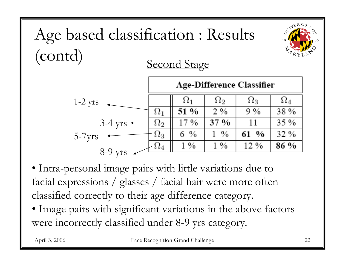

• Intra-personal image pairs with little variations due to facial expressions / glasses / facial hair were more often classified correctly to their age difference category.

• Image pairs with significant variations in the above factors were incorrectly classified under 8-9 yrs category.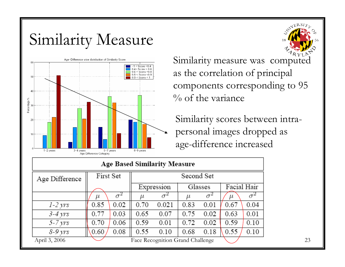### Similarity Measure



Similarity measure was computed as the correlation of principal components corresponding to 95  $\%$  of the variance

Similarity scores between intrapersonal images dropped as age-difference increased

| <b>Age Based Similarity Measure</b> |                                  |      |            |            |         |      |             |      |
|-------------------------------------|----------------------------------|------|------------|------------|---------|------|-------------|------|
| Age Difference                      | First Set                        |      | Second Set |            |         |      |             |      |
|                                     |                                  |      | Expression |            | Glasses |      | Facial Hair |      |
|                                     | μ                                |      |            | $\sigma^2$ |         |      | $\mu$       |      |
| $1-2$ yrs                           | 0.85                             | 0.02 | 0.70       | 0.021      | 0.83    | 0.01 | 0.67        | 0.04 |
| $3 - 4 \gamma r s$                  | 0.77                             | 0.03 | 0.65       | 0.07       | 0.75    | 0.02 | 0.63        | 0.01 |
| $5 - 7 \, yrs$                      | 0.70                             | 0.06 | 0.59       | 0.01       | 0.72    | 0.02 | 0.59        | 0.10 |
| $8-9 \, yrs$                        | 0.60                             | 0.08 | 0.55       | 0.10       | 0.68    | 0.18 | 0.55        | 0.10 |
| April 3, 2006                       | Face Recognition Grand Challenge |      |            |            |         |      |             |      |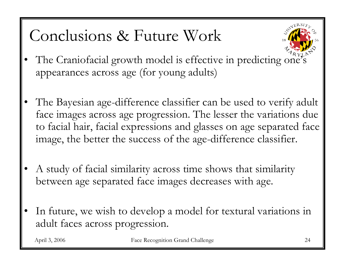## Conclusions & Future Work



- •The Craniofacial growth model is effective in predicting one's appearances across age (for young adults)
- • The Bayesian age-difference classifier can be used to verify adult face images across age progression. The lesser the variations due to facial hair, facial expressions and glasses on age separated face image, the better the success of the age-difference classifier.
- • A study of facial similarity across time shows that similarity between age separated face images decreases with age.
- • In future, we wish to develop a model for textural variations in adult faces across progression.